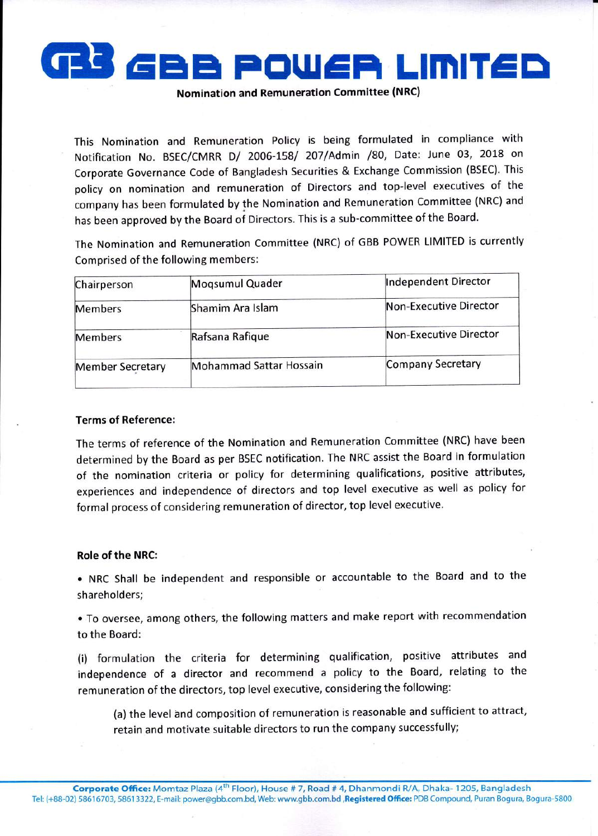

Nomination and Remuneration Committee (NRC)

This Nomination and Remuneration Policy is being formulated in compliance with Notification No. BSEC/CMRR D/ 2006-158/ 207/Admin /80, Date: June 03, 2018 on Corporate Governance Code of Bangladesh Securities & Exchange Commission (BSEC). This policy on nomination and remuneration of Directors and top-level executives of the company has been formulated by the Nomination and Remuneration Committee (NRC) and has been approved by the Board of Directors. This is a sub-committee of the Board.

The Nomination and Remuneration Committee (NRC) of GBB POWER LIMITED is currently Comprised of the following members:

| Chairperson             | Mogsumul Quader         | Independent Director   |
|-------------------------|-------------------------|------------------------|
| <b>Members</b>          | Shamim Ara Islam        | Non-Executive Director |
| <b>Members</b>          | Rafsana Rafique         | Non-Executive Director |
| <b>Member Secretary</b> | Mohammad Sattar Hossain | Company Secretary      |

## Terms of Reference:

The terms of reference of the Nomination and Remuneration Committee (NRC) have been determined by the Board as per BSEC notification. The NRC assist the Board in formulation of the nomination criteria or policy for determining qualifications, positive attributes, experiences and independence of directors and top level executive as well as policy for formal process of considering remuneration of director, top level executive.

## Role of the NRC:

. NRC Shall be independent and responsible or accountable to the Board and to the shareholders;

• To oversee, among others, the following matters and make report with recommendation to the Board:

(i) formulation the criteria for determining qualification, positive attributes and independence of a director and recommend a policy to the Board, relating to the remuneration of the directors, top level executive, considering the following:

(a) the level and composition of remuneration is reasonable and sufficient to attract, retain and motivate suitable directors to run the company successfully;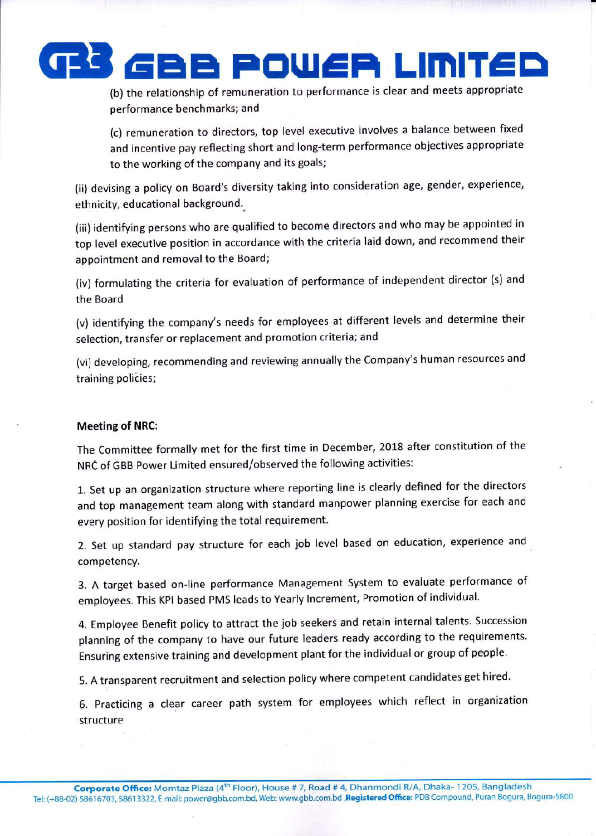

(b) the relationship of remuneration to performance is clear and meets appropriate performance benchmarks; and

(c) remuneration to directors, top level executive involves a balance between fixed and incentive pay reflecting short and long-term performance objectives appropriate to the working of the company and its goals;

(ii) devising a policy on Board's diversity taking into consideration age, gender, experience, ethnicity, educational background..

(iii) identifying persons who are qualified to become directors and who may be appointed in top level executive position in accordance with the criteria laid down, and recommend their appointment and removal to the Board;

(iv) formulating the criteria for evaluation of performance of independent director (s) and the Board

(v) identifying the company's needs for employees at different levels and determine their selection, transfer or replacement and promotion criteria; and

(vi) developing, recommending and reviewing annually the Company's human resources and training policies;

## Meeting of NRC:

The Committee formally met for the first time in December, 2018 after constitution of the NRC of GBB Power Limited ensured/observed the following activities:

1. Set up an organization structure where reporting line is clearly defined for the directors and top management team along with standard manpower planning exercise for each and every position for identifying the total requirement.

2. Set up standard pay structure for each job level based on education, experience and competency.

3. A target based on-line performance Management System to evaluate performance of employees. This KPI based PMS leads to Yearly lncrement, Promotion of individual.

4. Employee Benefit policy to attract the job seekers and retain internal talents. Succession planning of the company to have our future leaders ready according to the requirements. Ensuring extensive training and development plant for the individual or group of people'

5. A transparent recruitment and selection policy where competent candidates get hired.

6. practicing a clear career path system for employees which reflect in organization structure